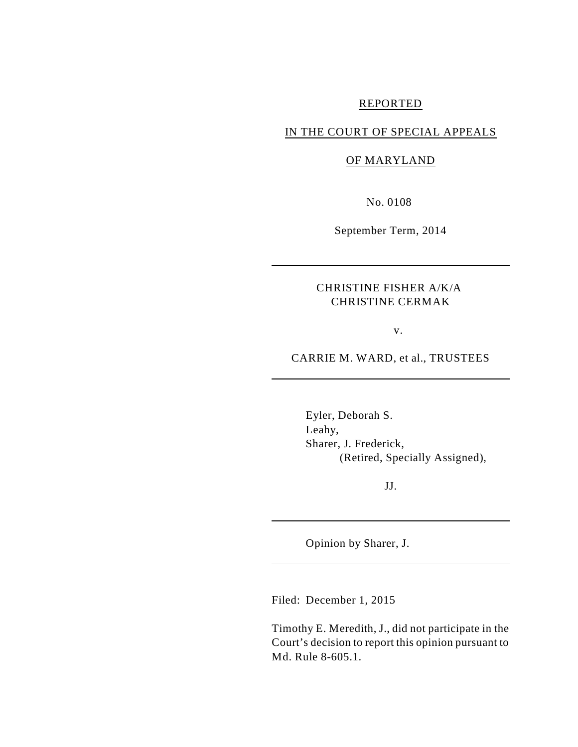#### REPORTED

## IN THE COURT OF SPECIAL APPEALS

### OF MARYLAND

No. 0108

September Term, 2014

## CHRISTINE FISHER A/K/A CHRISTINE CERMAK

v.

CARRIE M. WARD, et al., TRUSTEES

Eyler, Deborah S. Leahy, Sharer, J. Frederick, (Retired, Specially Assigned),

JJ.

Opinion by Sharer, J.

Filed: December 1, 2015

Timothy E. Meredith, J., did not participate in the Court's decision to report this opinion pursuant to Md. Rule 8-605.1.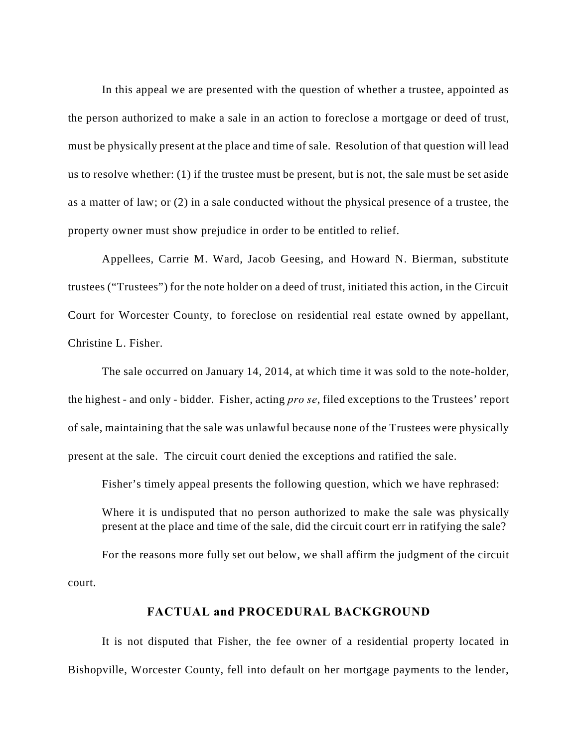In this appeal we are presented with the question of whether a trustee, appointed as the person authorized to make a sale in an action to foreclose a mortgage or deed of trust, must be physically present at the place and time of sale. Resolution of that question will lead us to resolve whether: (1) if the trustee must be present, but is not, the sale must be set aside as a matter of law; or (2) in a sale conducted without the physical presence of a trustee, the property owner must show prejudice in order to be entitled to relief.

Appellees, Carrie M. Ward, Jacob Geesing, and Howard N. Bierman, substitute trustees ("Trustees") for the note holder on a deed of trust, initiated this action, in the Circuit Court for Worcester County, to foreclose on residential real estate owned by appellant, Christine L. Fisher.

The sale occurred on January 14, 2014, at which time it was sold to the note-holder, the highest - and only - bidder. Fisher, acting *pro se*, filed exceptions to the Trustees' report of sale, maintaining that the sale was unlawful because none of the Trustees were physically present at the sale. The circuit court denied the exceptions and ratified the sale.

Fisher's timely appeal presents the following question, which we have rephrased:

Where it is undisputed that no person authorized to make the sale was physically present at the place and time of the sale, did the circuit court err in ratifying the sale?

For the reasons more fully set out below, we shall affirm the judgment of the circuit court.

### **FACTUAL and PROCEDURAL BACKGROUND**

It is not disputed that Fisher, the fee owner of a residential property located in Bishopville, Worcester County, fell into default on her mortgage payments to the lender,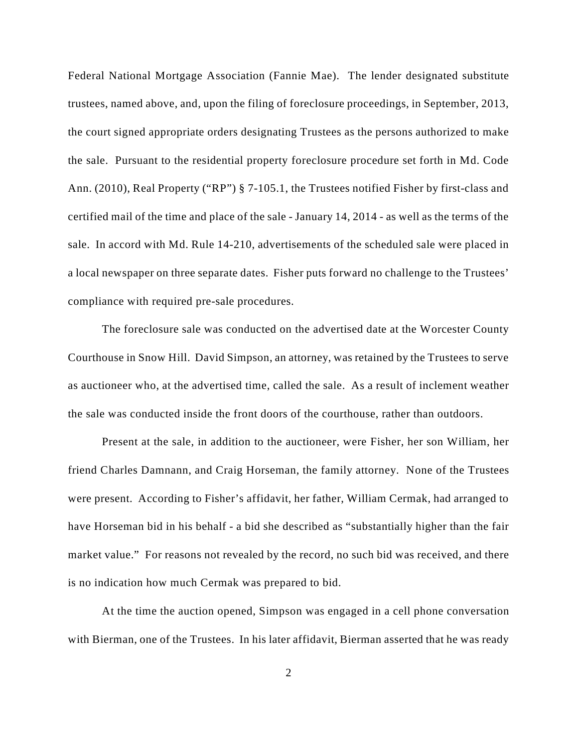Federal National Mortgage Association (Fannie Mae). The lender designated substitute trustees, named above, and, upon the filing of foreclosure proceedings, in September, 2013, the court signed appropriate orders designating Trustees as the persons authorized to make the sale. Pursuant to the residential property foreclosure procedure set forth in Md. Code Ann. (2010), Real Property ("RP") § 7-105.1, the Trustees notified Fisher by first-class and certified mail of the time and place of the sale - January 14, 2014 - as well as the terms of the sale. In accord with Md. Rule 14-210, advertisements of the scheduled sale were placed in a local newspaper on three separate dates. Fisher puts forward no challenge to the Trustees' compliance with required pre-sale procedures.

The foreclosure sale was conducted on the advertised date at the Worcester County Courthouse in Snow Hill. David Simpson, an attorney, was retained by the Trustees to serve as auctioneer who, at the advertised time, called the sale. As a result of inclement weather the sale was conducted inside the front doors of the courthouse, rather than outdoors.

Present at the sale, in addition to the auctioneer, were Fisher, her son William, her friend Charles Damnann, and Craig Horseman, the family attorney. None of the Trustees were present. According to Fisher's affidavit, her father, William Cermak, had arranged to have Horseman bid in his behalf - a bid she described as "substantially higher than the fair market value." For reasons not revealed by the record, no such bid was received, and there is no indication how much Cermak was prepared to bid.

At the time the auction opened, Simpson was engaged in a cell phone conversation with Bierman, one of the Trustees. In his later affidavit, Bierman asserted that he was ready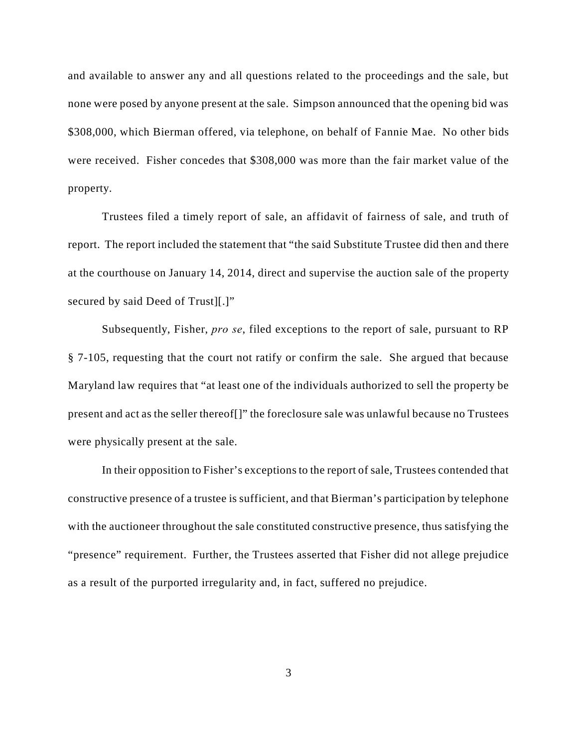and available to answer any and all questions related to the proceedings and the sale, but none were posed by anyone present at the sale. Simpson announced that the opening bid was \$308,000, which Bierman offered, via telephone, on behalf of Fannie Mae. No other bids were received. Fisher concedes that \$308,000 was more than the fair market value of the property.

Trustees filed a timely report of sale, an affidavit of fairness of sale, and truth of report. The report included the statement that "the said Substitute Trustee did then and there at the courthouse on January 14, 2014, direct and supervise the auction sale of the property secured by said Deed of Trust][.]"

Subsequently, Fisher, *pro se*, filed exceptions to the report of sale, pursuant to RP § 7-105, requesting that the court not ratify or confirm the sale. She argued that because Maryland law requires that "at least one of the individuals authorized to sell the property be present and act as the seller thereof[]" the foreclosure sale was unlawful because no Trustees were physically present at the sale.

In their opposition to Fisher's exceptions to the report of sale, Trustees contended that constructive presence of a trustee is sufficient, and that Bierman's participation by telephone with the auctioneer throughout the sale constituted constructive presence, thus satisfying the "presence" requirement. Further, the Trustees asserted that Fisher did not allege prejudice as a result of the purported irregularity and, in fact, suffered no prejudice.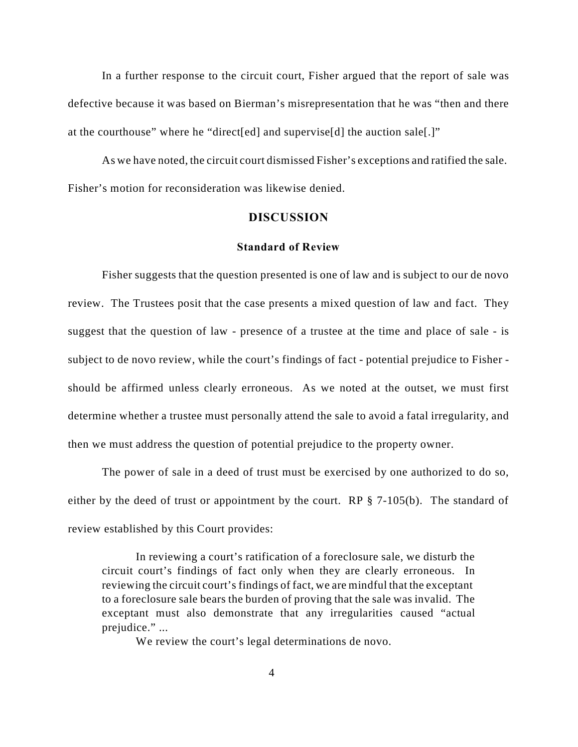In a further response to the circuit court, Fisher argued that the report of sale was defective because it was based on Bierman's misrepresentation that he was "then and there at the courthouse" where he "direct[ed] and supervise[d] the auction sale[.]"

As we have noted, the circuit court dismissed Fisher's exceptions and ratified the sale. Fisher's motion for reconsideration was likewise denied.

### **DISCUSSION**

#### **Standard of Review**

Fisher suggests that the question presented is one of law and is subject to our de novo review. The Trustees posit that the case presents a mixed question of law and fact. They suggest that the question of law - presence of a trustee at the time and place of sale - is subject to de novo review, while the court's findings of fact - potential prejudice to Fisher should be affirmed unless clearly erroneous. As we noted at the outset, we must first determine whether a trustee must personally attend the sale to avoid a fatal irregularity, and then we must address the question of potential prejudice to the property owner.

The power of sale in a deed of trust must be exercised by one authorized to do so, either by the deed of trust or appointment by the court. RP § 7-105(b). The standard of review established by this Court provides:

In reviewing a court's ratification of a foreclosure sale, we disturb the circuit court's findings of fact only when they are clearly erroneous. In reviewing the circuit court's findings of fact, we are mindful that the exceptant to a foreclosure sale bears the burden of proving that the sale was invalid. The exceptant must also demonstrate that any irregularities caused "actual prejudice." ...

We review the court's legal determinations de novo.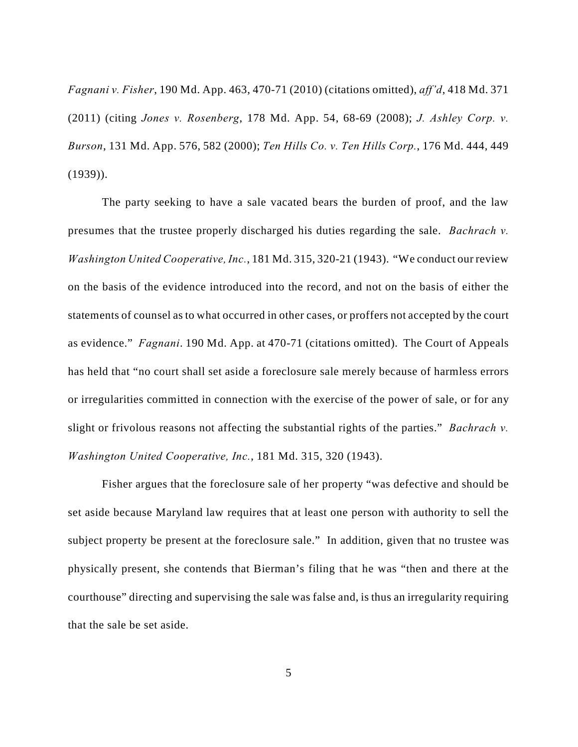*Fagnani v. Fisher*, 190 Md. App. 463, 470-71 (2010) (citations omitted), *aff'd*, 418 Md. 371 (2011) (citing *Jones v. Rosenberg*, 178 Md. App. 54, 68-69 (2008); *J. Ashley Corp. v. Burson*, 131 Md. App. 576, 582 (2000); *Ten Hills Co. v. Ten Hills Corp.*, 176 Md. 444, 449 (1939)).

The party seeking to have a sale vacated bears the burden of proof, and the law presumes that the trustee properly discharged his duties regarding the sale. *Bachrach v. Washington United Cooperative, Inc.*, 181 Md. 315, 320-21 (1943). "We conduct our review on the basis of the evidence introduced into the record, and not on the basis of either the statements of counsel as to what occurred in other cases, or proffers not accepted by the court as evidence." *Fagnani*. 190 Md. App. at 470-71 (citations omitted). The Court of Appeals has held that "no court shall set aside a foreclosure sale merely because of harmless errors or irregularities committed in connection with the exercise of the power of sale, or for any slight or frivolous reasons not affecting the substantial rights of the parties." *Bachrach v. Washington United Cooperative, Inc.*, 181 Md. 315, 320 (1943).

Fisher argues that the foreclosure sale of her property "was defective and should be set aside because Maryland law requires that at least one person with authority to sell the subject property be present at the foreclosure sale." In addition, given that no trustee was physically present, she contends that Bierman's filing that he was "then and there at the courthouse" directing and supervising the sale was false and, is thus an irregularity requiring that the sale be set aside.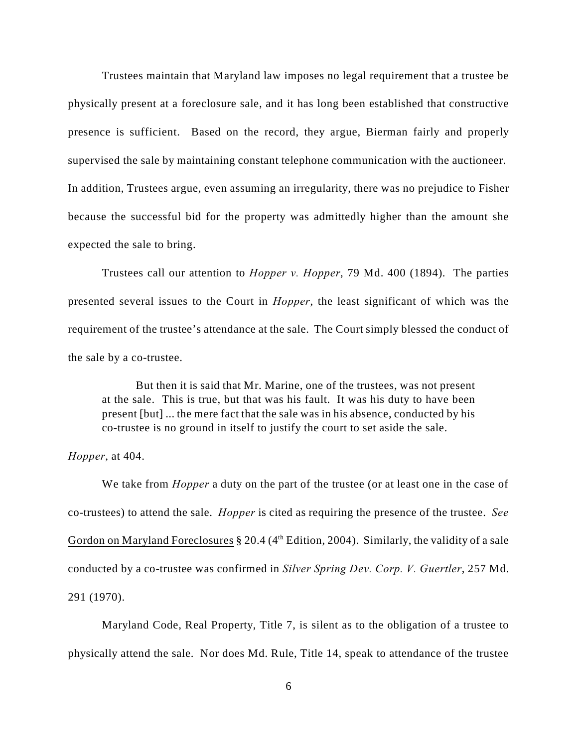Trustees maintain that Maryland law imposes no legal requirement that a trustee be physically present at a foreclosure sale, and it has long been established that constructive presence is sufficient. Based on the record, they argue, Bierman fairly and properly supervised the sale by maintaining constant telephone communication with the auctioneer. In addition, Trustees argue, even assuming an irregularity, there was no prejudice to Fisher because the successful bid for the property was admittedly higher than the amount she expected the sale to bring.

Trustees call our attention to *Hopper v. Hopper*, 79 Md. 400 (1894). The parties presented several issues to the Court in *Hopper*, the least significant of which was the requirement of the trustee's attendance at the sale. The Court simply blessed the conduct of the sale by a co-trustee.

But then it is said that Mr. Marine, one of the trustees, was not present at the sale. This is true, but that was his fault. It was his duty to have been present [but] ... the mere fact that the sale was in his absence, conducted by his co-trustee is no ground in itself to justify the court to set aside the sale.

*Hopper*, at 404.

We take from *Hopper* a duty on the part of the trustee (or at least one in the case of co-trustees) to attend the sale. *Hopper* is cited as requiring the presence of the trustee. *See* Gordon on Maryland Foreclosures  $\S 20.4$  (4<sup>th</sup> Edition, 2004). Similarly, the validity of a sale conducted by a co-trustee was confirmed in *Silver Spring Dev. Corp. V. Guertler*, 257 Md. 291 (1970).

Maryland Code, Real Property, Title 7, is silent as to the obligation of a trustee to physically attend the sale. Nor does Md. Rule, Title 14, speak to attendance of the trustee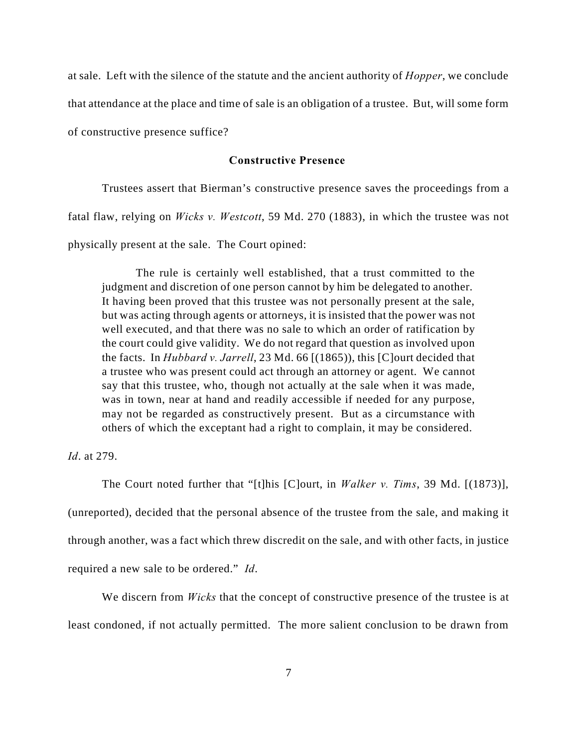at sale. Left with the silence of the statute and the ancient authority of *Hopper*, we conclude that attendance at the place and time of sale is an obligation of a trustee. But, will some form of constructive presence suffice?

#### **Constructive Presence**

Trustees assert that Bierman's constructive presence saves the proceedings from a fatal flaw, relying on *Wicks v. Westcott*, 59 Md. 270 (1883), in which the trustee was not physically present at the sale. The Court opined:

The rule is certainly well established, that a trust committed to the judgment and discretion of one person cannot by him be delegated to another. It having been proved that this trustee was not personally present at the sale, but was acting through agents or attorneys, it is insisted that the power was not well executed, and that there was no sale to which an order of ratification by the court could give validity. We do not regard that question as involved upon the facts. In *Hubbard v. Jarrell*, 23 Md. 66 [(1865)), this [C]ourt decided that a trustee who was present could act through an attorney or agent. We cannot say that this trustee, who, though not actually at the sale when it was made, was in town, near at hand and readily accessible if needed for any purpose, may not be regarded as constructively present. But as a circumstance with others of which the exceptant had a right to complain, it may be considered.

*Id*. at 279.

The Court noted further that "[t]his [C]ourt, in *Walker v. Tims*, 39 Md. [(1873)], (unreported), decided that the personal absence of the trustee from the sale, and making it through another, was a fact which threw discredit on the sale, and with other facts, in justice required a new sale to be ordered." *Id*.

We discern from *Wicks* that the concept of constructive presence of the trustee is at least condoned, if not actually permitted. The more salient conclusion to be drawn from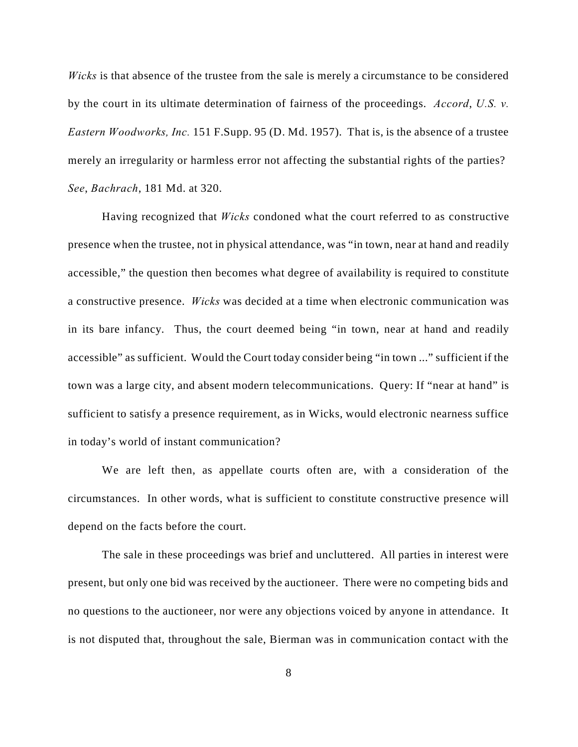*Wicks* is that absence of the trustee from the sale is merely a circumstance to be considered by the court in its ultimate determination of fairness of the proceedings. *Accord*, *U.S. v. Eastern Woodworks, Inc.* 151 F.Supp. 95 (D. Md. 1957). That is, is the absence of a trustee merely an irregularity or harmless error not affecting the substantial rights of the parties? *See*, *Bachrach*, 181 Md. at 320.

Having recognized that *Wicks* condoned what the court referred to as constructive presence when the trustee, not in physical attendance, was "in town, near at hand and readily accessible," the question then becomes what degree of availability is required to constitute a constructive presence. *Wicks* was decided at a time when electronic communication was in its bare infancy. Thus, the court deemed being "in town, near at hand and readily accessible" as sufficient. Would the Court today consider being "in town ..." sufficient if the town was a large city, and absent modern telecommunications. Query: If "near at hand" is sufficient to satisfy a presence requirement, as in Wicks, would electronic nearness suffice in today's world of instant communication?

We are left then, as appellate courts often are, with a consideration of the circumstances. In other words, what is sufficient to constitute constructive presence will depend on the facts before the court.

The sale in these proceedings was brief and uncluttered. All parties in interest were present, but only one bid was received by the auctioneer. There were no competing bids and no questions to the auctioneer, nor were any objections voiced by anyone in attendance. It is not disputed that, throughout the sale, Bierman was in communication contact with the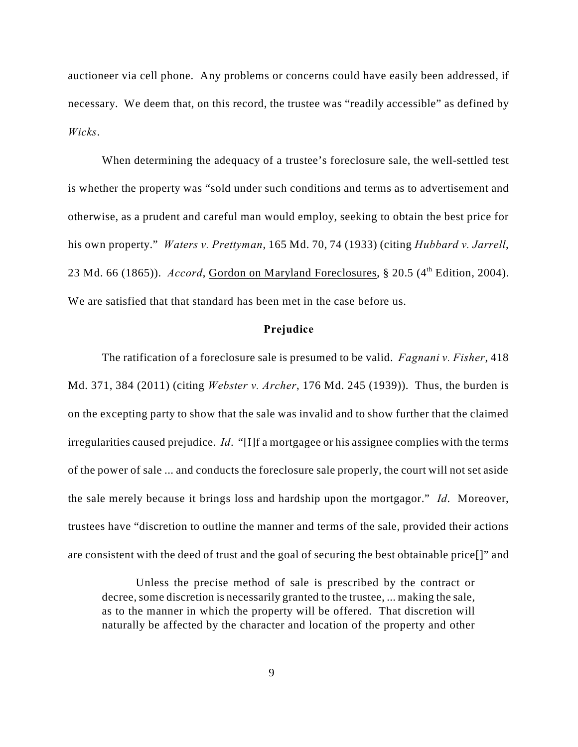auctioneer via cell phone. Any problems or concerns could have easily been addressed, if necessary. We deem that, on this record, the trustee was "readily accessible" as defined by *Wicks*.

When determining the adequacy of a trustee's foreclosure sale, the well-settled test is whether the property was "sold under such conditions and terms as to advertisement and otherwise, as a prudent and careful man would employ, seeking to obtain the best price for his own property." *Waters v. Prettyman*, 165 Md. 70, 74 (1933) (citing *Hubbard v. Jarrell*, 23 Md. 66 (1865)). *Accord*, Gordon on Maryland Foreclosures, § 20.5 (4<sup>th</sup> Edition, 2004). We are satisfied that that standard has been met in the case before us.

#### **Prejudice**

The ratification of a foreclosure sale is presumed to be valid. *Fagnani v. Fisher*, 418 Md. 371, 384 (2011) (citing *Webster v. Archer*, 176 Md. 245 (1939)). Thus, the burden is on the excepting party to show that the sale was invalid and to show further that the claimed irregularities caused prejudice. *Id*. "[I]f a mortgagee or his assignee complies with the terms of the power of sale ... and conducts the foreclosure sale properly, the court will not set aside the sale merely because it brings loss and hardship upon the mortgagor." *Id*. Moreover, trustees have "discretion to outline the manner and terms of the sale, provided their actions are consistent with the deed of trust and the goal of securing the best obtainable price[]" and

Unless the precise method of sale is prescribed by the contract or decree, some discretion is necessarily granted to the trustee, ... making the sale, as to the manner in which the property will be offered. That discretion will naturally be affected by the character and location of the property and other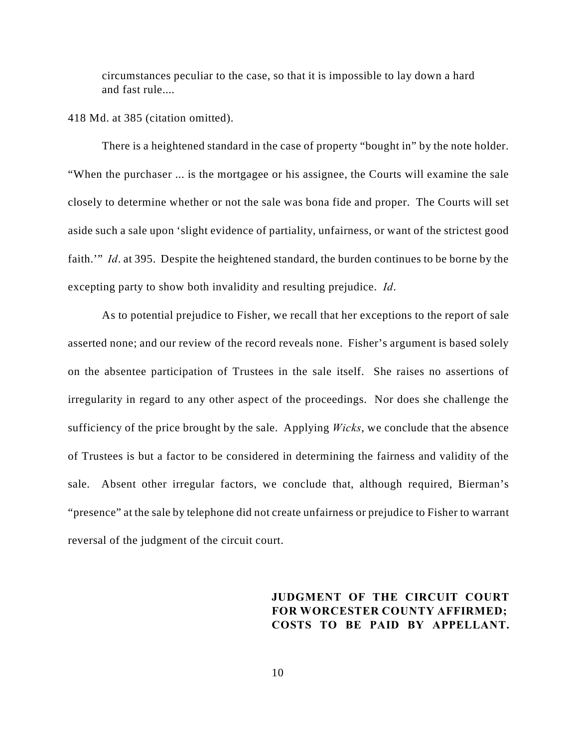circumstances peculiar to the case, so that it is impossible to lay down a hard and fast rule....

418 Md. at 385 (citation omitted).

There is a heightened standard in the case of property "bought in" by the note holder. "When the purchaser ... is the mortgagee or his assignee, the Courts will examine the sale closely to determine whether or not the sale was bona fide and proper. The Courts will set aside such a sale upon 'slight evidence of partiality, unfairness, or want of the strictest good faith.'" *Id*. at 395. Despite the heightened standard, the burden continues to be borne by the excepting party to show both invalidity and resulting prejudice. *Id*.

As to potential prejudice to Fisher, we recall that her exceptions to the report of sale asserted none; and our review of the record reveals none. Fisher's argument is based solely on the absentee participation of Trustees in the sale itself. She raises no assertions of irregularity in regard to any other aspect of the proceedings. Nor does she challenge the sufficiency of the price brought by the sale. Applying *Wicks*, we conclude that the absence of Trustees is but a factor to be considered in determining the fairness and validity of the sale. Absent other irregular factors, we conclude that, although required, Bierman's "presence" at the sale by telephone did not create unfairness or prejudice to Fisher to warrant reversal of the judgment of the circuit court.

# **JUDGMENT OF THE CIRCUIT COURT FOR WORCESTER COUNTY AFFIRMED; COSTS TO BE PAID BY APPELLANT.**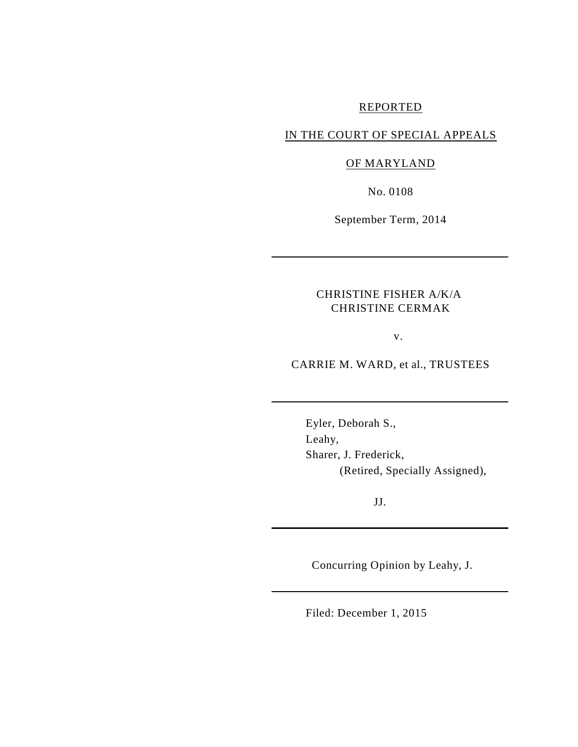# REPORTED

## IN THE COURT OF SPECIAL APPEALS

# OF MARYLAND

No. 0108

September Term, 2014

## CHRISTINE FISHER A/K/A CHRISTINE CERMAK

v.

CARRIE M. WARD, et al., TRUSTEES

Eyler, Deborah S., Leahy, Sharer, J. Frederick, (Retired, Specially Assigned),

JJ.

Concurring Opinion by Leahy, J.

Filed: December 1, 2015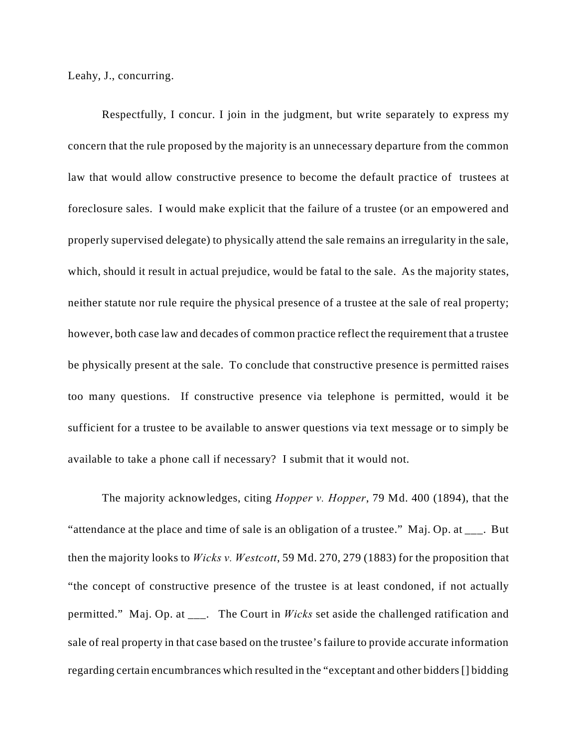Leahy, J., concurring.

Respectfully, I concur. I join in the judgment, but write separately to express my concern that the rule proposed by the majority is an unnecessary departure from the common law that would allow constructive presence to become the default practice of trustees at foreclosure sales. I would make explicit that the failure of a trustee (or an empowered and properly supervised delegate) to physically attend the sale remains an irregularity in the sale, which, should it result in actual prejudice, would be fatal to the sale. As the majority states, neither statute nor rule require the physical presence of a trustee at the sale of real property; however, both case law and decades of common practice reflect the requirement that a trustee be physically present at the sale. To conclude that constructive presence is permitted raises too many questions. If constructive presence via telephone is permitted, would it be sufficient for a trustee to be available to answer questions via text message or to simply be available to take a phone call if necessary? I submit that it would not.

The majority acknowledges, citing *Hopper v. Hopper*, 79 Md. 400 (1894), that the "attendance at the place and time of sale is an obligation of a trustee." Maj. Op. at \_\_\_. But then the majority looks to *Wicks v. Westcott*, 59 Md. 270, 279 (1883) for the proposition that "the concept of constructive presence of the trustee is at least condoned, if not actually permitted." Maj. Op. at \_\_\_. The Court in *Wicks* set aside the challenged ratification and sale of real property in that case based on the trustee's failure to provide accurate information regarding certain encumbrances which resulted in the "exceptant and other bidders [] bidding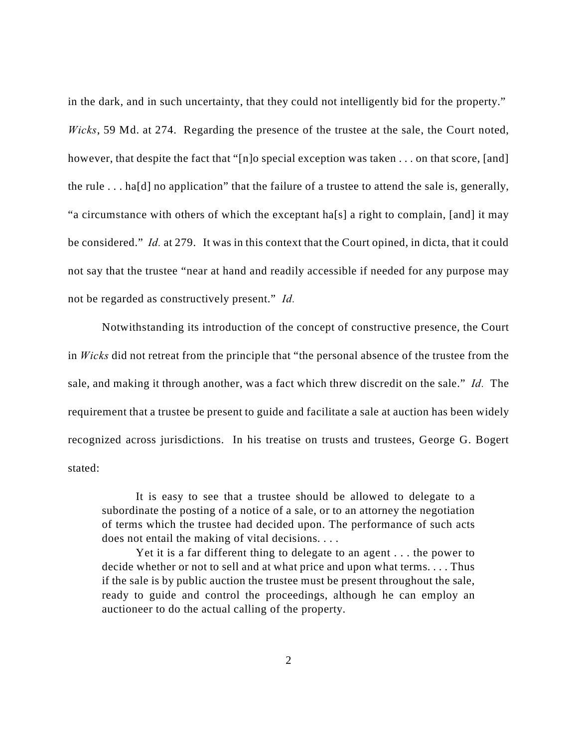in the dark, and in such uncertainty, that they could not intelligently bid for the property." *Wicks*, 59 Md. at 274. Regarding the presence of the trustee at the sale, the Court noted, however, that despite the fact that "[n]o special exception was taken . . . on that score, [and] the rule . . . ha[d] no application" that the failure of a trustee to attend the sale is, generally, "a circumstance with others of which the exceptant ha[s] a right to complain, [and] it may be considered." *Id.* at 279. It was in this context that the Court opined, in dicta, that it could not say that the trustee "near at hand and readily accessible if needed for any purpose may not be regarded as constructively present." *Id.* 

Notwithstanding its introduction of the concept of constructive presence, the Court in *Wicks* did not retreat from the principle that "the personal absence of the trustee from the sale, and making it through another, was a fact which threw discredit on the sale." *Id.* The requirement that a trustee be present to guide and facilitate a sale at auction has been widely recognized across jurisdictions. In his treatise on trusts and trustees, George G. Bogert stated:

It is easy to see that a trustee should be allowed to delegate to a subordinate the posting of a notice of a sale, or to an attorney the negotiation of terms which the trustee had decided upon. The performance of such acts does not entail the making of vital decisions. . . .

Yet it is a far different thing to delegate to an agent . . . the power to decide whether or not to sell and at what price and upon what terms. . . . Thus if the sale is by public auction the trustee must be present throughout the sale, ready to guide and control the proceedings, although he can employ an auctioneer to do the actual calling of the property.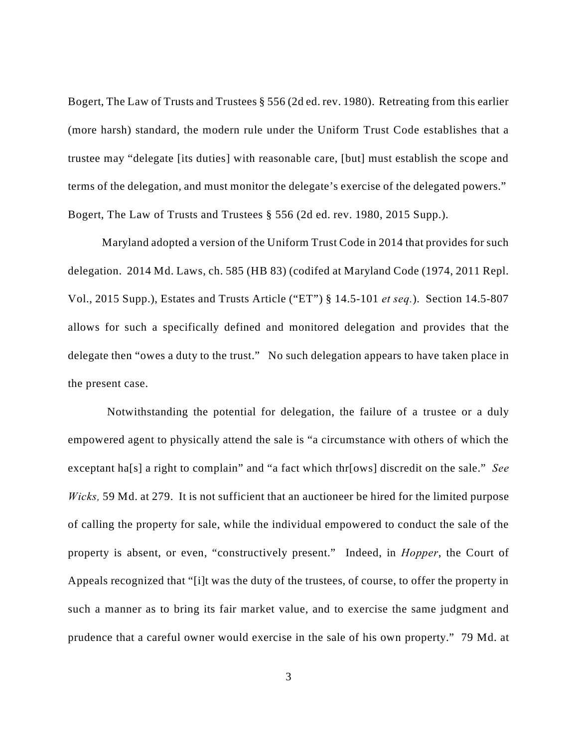Bogert, The Law of Trusts and Trustees § 556 (2d ed. rev. 1980). Retreating from this earlier (more harsh) standard, the modern rule under the Uniform Trust Code establishes that a trustee may "delegate [its duties] with reasonable care, [but] must establish the scope and terms of the delegation, and must monitor the delegate's exercise of the delegated powers." Bogert, The Law of Trusts and Trustees § 556 (2d ed. rev. 1980, 2015 Supp.).

Maryland adopted a version of the Uniform Trust Code in 2014 that provides for such delegation. 2014 Md. Laws, ch. 585 (HB 83) (codifed at Maryland Code (1974, 2011 Repl. Vol., 2015 Supp.), Estates and Trusts Article ("ET") § 14.5-101 *et seq.*). Section 14.5-807 allows for such a specifically defined and monitored delegation and provides that the delegate then "owes a duty to the trust." No such delegation appears to have taken place in the present case.

 Notwithstanding the potential for delegation, the failure of a trustee or a duly empowered agent to physically attend the sale is "a circumstance with others of which the exceptant ha[s] a right to complain" and "a fact which thr[ows] discredit on the sale." *See Wicks,* 59 Md. at 279. It is not sufficient that an auctioneer be hired for the limited purpose of calling the property for sale, while the individual empowered to conduct the sale of the property is absent, or even, "constructively present." Indeed, in *Hopper*, the Court of Appeals recognized that "[i]t was the duty of the trustees, of course, to offer the property in such a manner as to bring its fair market value, and to exercise the same judgment and prudence that a careful owner would exercise in the sale of his own property." 79 Md. at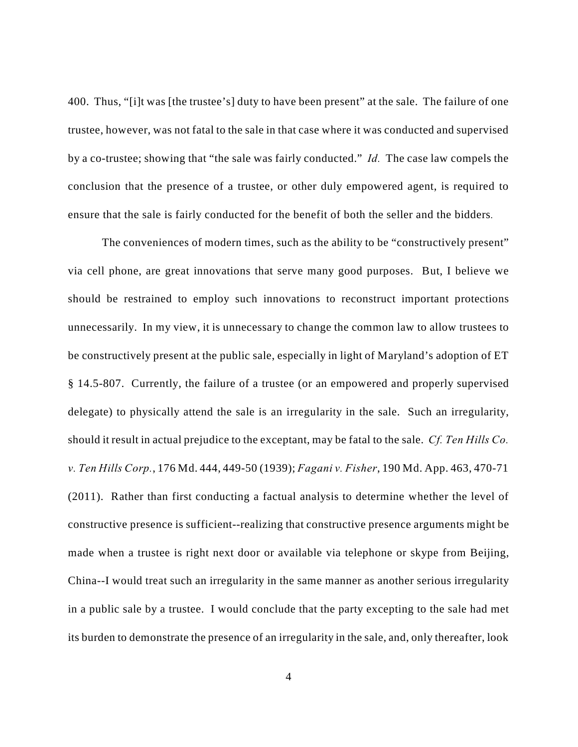400. Thus, "[i]t was [the trustee's] duty to have been present" at the sale. The failure of one trustee, however, was not fatal to the sale in that case where it was conducted and supervised by a co-trustee; showing that "the sale was fairly conducted." *Id.* The case law compels the conclusion that the presence of a trustee, or other duly empowered agent, is required to ensure that the sale is fairly conducted for the benefit of both the seller and the bidders*.*

The conveniences of modern times, such as the ability to be "constructively present" via cell phone, are great innovations that serve many good purposes. But, I believe we should be restrained to employ such innovations to reconstruct important protections unnecessarily. In my view, it is unnecessary to change the common law to allow trustees to be constructively present at the public sale, especially in light of Maryland's adoption of ET § 14.5-807. Currently, the failure of a trustee (or an empowered and properly supervised delegate) to physically attend the sale is an irregularity in the sale. Such an irregularity, should it result in actual prejudice to the exceptant, may be fatal to the sale. *Cf. Ten Hills Co. v. Ten Hills Corp.*, 176 Md. 444, 449-50 (1939); *Fagani v. Fisher*, 190 Md. App. 463, 470-71 (2011). Rather than first conducting a factual analysis to determine whether the level of constructive presence is sufficient--realizing that constructive presence arguments might be made when a trustee is right next door or available via telephone or skype from Beijing, China--I would treat such an irregularity in the same manner as another serious irregularity in a public sale by a trustee. I would conclude that the party excepting to the sale had met its burden to demonstrate the presence of an irregularity in the sale, and, only thereafter, look